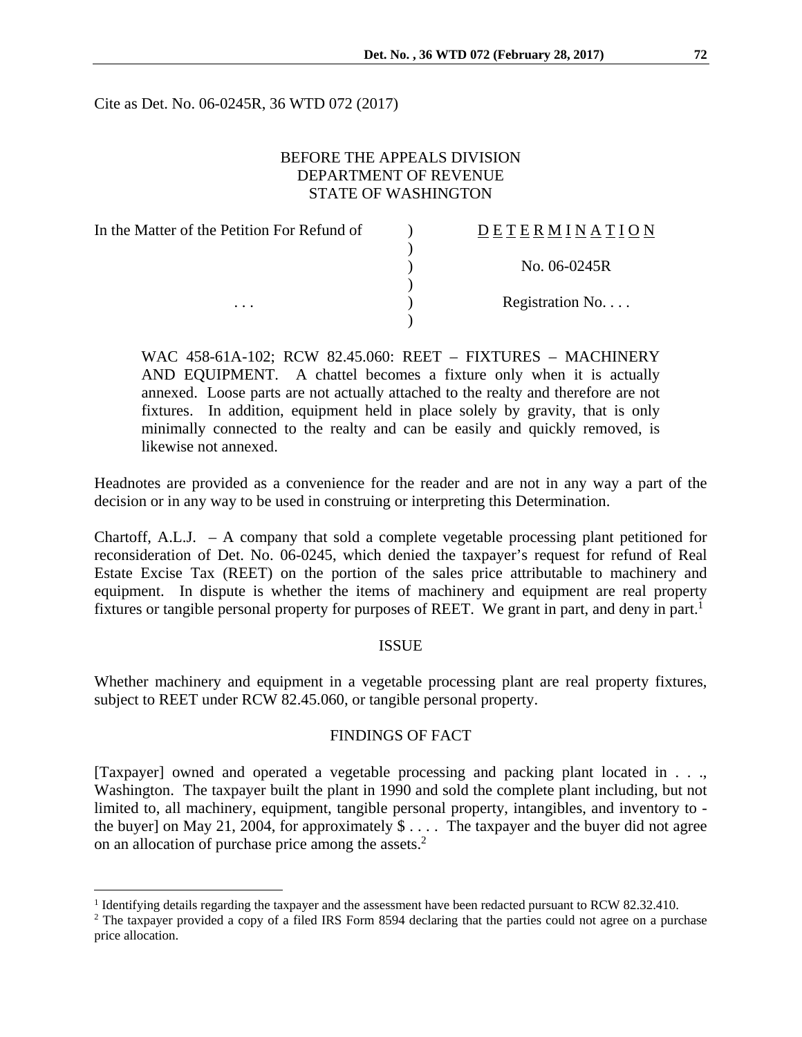Cite as Det. No. 06-0245R, 36 WTD 072 (2017)

# BEFORE THE APPEALS DIVISION DEPARTMENT OF REVENUE STATE OF WASHINGTON

| In the Matter of the Petition For Refund of | DETERMINATION   |
|---------------------------------------------|-----------------|
|                                             |                 |
|                                             | No. 06-0245R    |
|                                             |                 |
| $\cdots$                                    | Registration No |
|                                             |                 |

WAC 458-61A-102; RCW 82.45.060: REET – FIXTURES – MACHINERY AND EQUIPMENT. A chattel becomes a fixture only when it is actually annexed. Loose parts are not actually attached to the realty and therefore are not fixtures. In addition, equipment held in place solely by gravity, that is only minimally connected to the realty and can be easily and quickly removed, is likewise not annexed.

Headnotes are provided as a convenience for the reader and are not in any way a part of the decision or in any way to be used in construing or interpreting this Determination.

Chartoff, A.L.J. – A company that sold a complete vegetable processing plant petitioned for reconsideration of Det. No. 06-0245, which denied the taxpayer's request for refund of Real Estate Excise Tax (REET) on the portion of the sales price attributable to machinery and equipment. In dispute is whether the items of machinery and equipment are real property fixtures or tangible personal property for purposes of REET. We grant in part, and deny in part.<sup>1</sup>

### ISSUE

Whether machinery and equipment in a vegetable processing plant are real property fixtures, subject to REET under RCW 82.45.060, or tangible personal property.

### FINDINGS OF FACT

[Taxpayer] owned and operated a vegetable processing and packing plant located in . . ., Washington. The taxpayer built the plant in 1990 and sold the complete plant including, but not limited to, all machinery, equipment, tangible personal property, intangibles, and inventory to the buyer] on May 21, 2004, for approximately  $\$\ldots$  The taxpayer and the buyer did not agree on an allocation of purchase price among the assets.<sup>2</sup>

<sup>&</sup>lt;sup>1</sup> Identifying details regarding the taxpayer and the assessment have been redacted pursuant to RCW 82.32.410.

<sup>&</sup>lt;sup>2</sup> The taxpayer provided a copy of a filed IRS Form 8594 declaring that the parties could not agree on a purchase price allocation.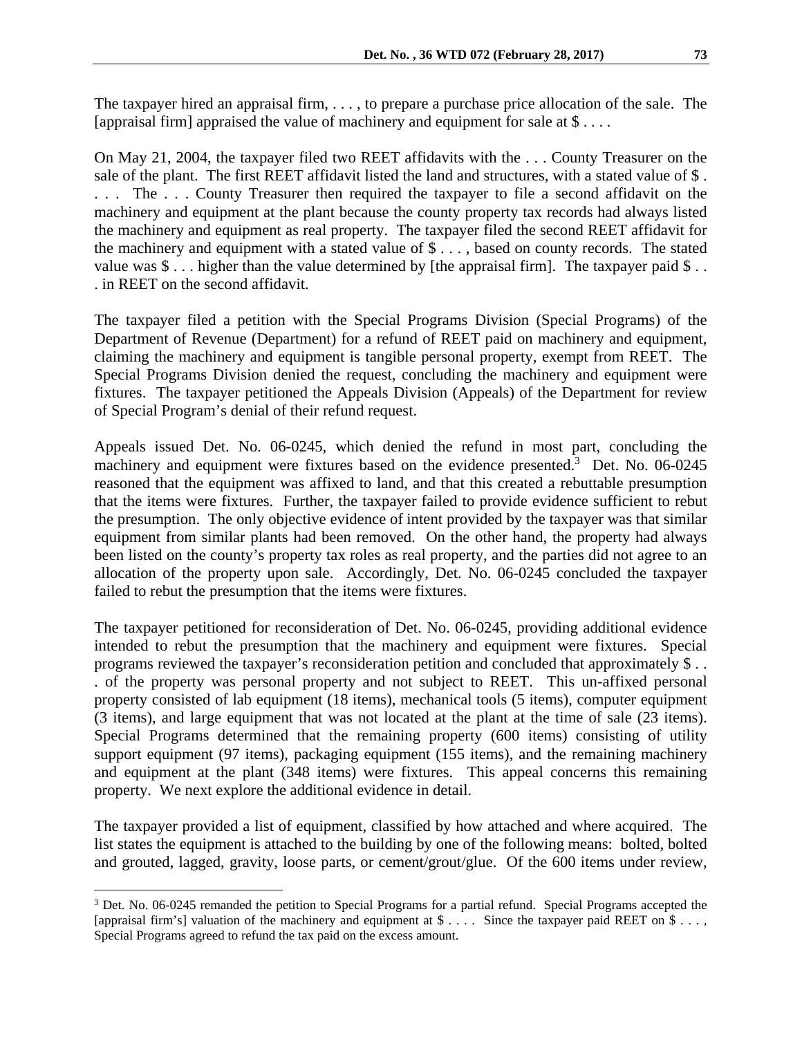The taxpayer hired an appraisal firm, . . . , to prepare a purchase price allocation of the sale. The [appraisal firm] appraised the value of machinery and equipment for sale at  $\$\dots$ .

On May 21, 2004, the taxpayer filed two REET affidavits with the . . . County Treasurer on the sale of the plant. The first REET affidavit listed the land and structures, with a stated value of \$ . . . . The . . . County Treasurer then required the taxpayer to file a second affidavit on the machinery and equipment at the plant because the county property tax records had always listed the machinery and equipment as real property. The taxpayer filed the second REET affidavit for the machinery and equipment with a stated value of \$ . . . , based on county records. The stated value was  $\$\dots$  higher than the value determined by [the appraisal firm]. The taxpayer paid  $\$\dots$ . in REET on the second affidavit.

The taxpayer filed a petition with the Special Programs Division (Special Programs) of the Department of Revenue (Department) for a refund of REET paid on machinery and equipment, claiming the machinery and equipment is tangible personal property, exempt from REET. The Special Programs Division denied the request, concluding the machinery and equipment were fixtures. The taxpayer petitioned the Appeals Division (Appeals) of the Department for review of Special Program's denial of their refund request.

Appeals issued Det. No. 06-0245, which denied the refund in most part, concluding the machinery and equipment were fixtures based on the evidence presented.<sup>3</sup> Det. No. 06-0245 reasoned that the equipment was affixed to land, and that this created a rebuttable presumption that the items were fixtures. Further, the taxpayer failed to provide evidence sufficient to rebut the presumption. The only objective evidence of intent provided by the taxpayer was that similar equipment from similar plants had been removed. On the other hand, the property had always been listed on the county's property tax roles as real property, and the parties did not agree to an allocation of the property upon sale. Accordingly, Det. No. 06-0245 concluded the taxpayer failed to rebut the presumption that the items were fixtures.

The taxpayer petitioned for reconsideration of Det. No. 06-0245, providing additional evidence intended to rebut the presumption that the machinery and equipment were fixtures. Special programs reviewed the taxpayer's reconsideration petition and concluded that approximately \$ . . . of the property was personal property and not subject to REET. This un-affixed personal property consisted of lab equipment (18 items), mechanical tools (5 items), computer equipment (3 items), and large equipment that was not located at the plant at the time of sale (23 items). Special Programs determined that the remaining property (600 items) consisting of utility support equipment (97 items), packaging equipment (155 items), and the remaining machinery and equipment at the plant (348 items) were fixtures. This appeal concerns this remaining property. We next explore the additional evidence in detail.

The taxpayer provided a list of equipment, classified by how attached and where acquired. The list states the equipment is attached to the building by one of the following means: bolted, bolted and grouted, lagged, gravity, loose parts, or cement/grout/glue. Of the 600 items under review,

<sup>&</sup>lt;sup>3</sup> Det. No. 06-0245 remanded the petition to Special Programs for a partial refund. Special Programs accepted the [appraisal firm's] valuation of the machinery and equipment at \$ . . . . Since the taxpayer paid REET on \$ . . . , Special Programs agreed to refund the tax paid on the excess amount.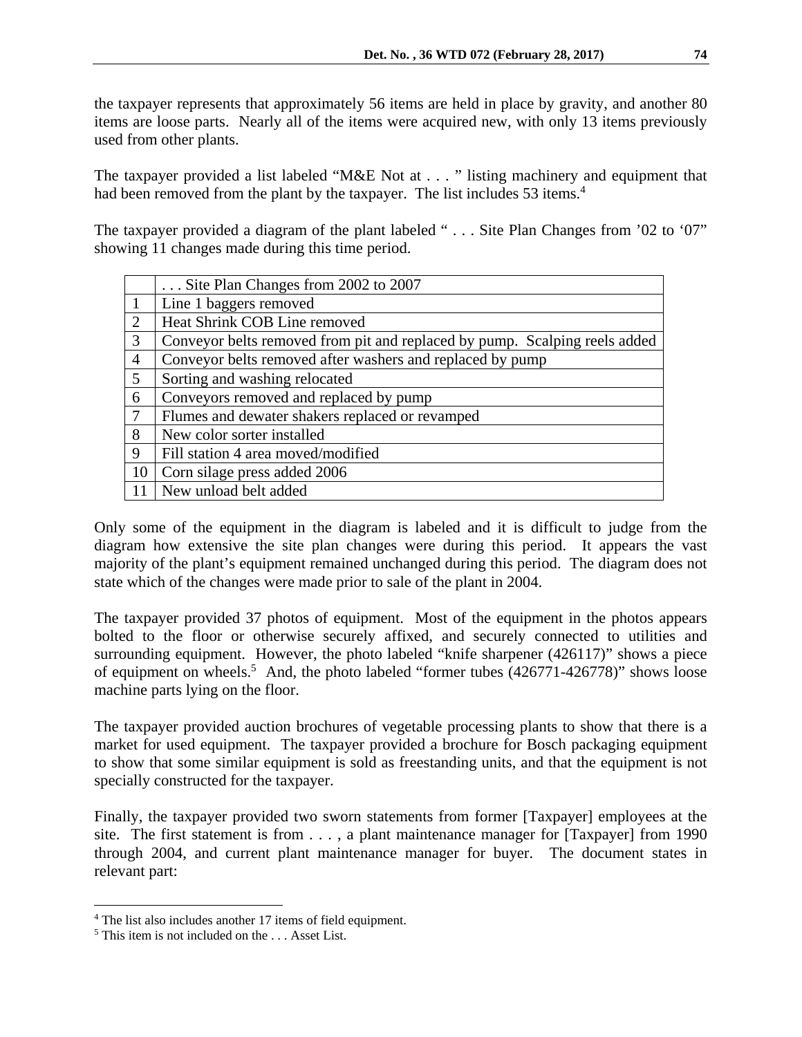the taxpayer represents that approximately 56 items are held in place by gravity, and another 80 items are loose parts. Nearly all of the items were acquired new, with only 13 items previously used from other plants.

The taxpayer provided a list labeled "M&E Not at . . . " listing machinery and equipment that had been removed from the plant by the taxpayer. The list includes 53 items.<sup>4</sup>

The taxpayer provided a diagram of the plant labeled " . . . Site Plan Changes from '02 to '07" showing 11 changes made during this time period.

|                | Site Plan Changes from 2002 to 2007                                        |
|----------------|----------------------------------------------------------------------------|
| $\mathbf{1}$   | Line 1 baggers removed                                                     |
| 2              | Heat Shrink COB Line removed                                               |
| 3              | Conveyor belts removed from pit and replaced by pump. Scalping reels added |
| $\overline{4}$ | Conveyor belts removed after washers and replaced by pump                  |
| 5 <sup>5</sup> | Sorting and washing relocated                                              |
| 6              | Conveyors removed and replaced by pump                                     |
| $\overline{7}$ | Flumes and dewater shakers replaced or revamped                            |
| 8              | New color sorter installed                                                 |
| 9              | Fill station 4 area moved/modified                                         |
| 10             | Corn silage press added 2006                                               |
| -11            | New unload belt added                                                      |

Only some of the equipment in the diagram is labeled and it is difficult to judge from the diagram how extensive the site plan changes were during this period. It appears the vast majority of the plant's equipment remained unchanged during this period. The diagram does not state which of the changes were made prior to sale of the plant in 2004.

The taxpayer provided 37 photos of equipment. Most of the equipment in the photos appears bolted to the floor or otherwise securely affixed, and securely connected to utilities and surrounding equipment. However, the photo labeled "knife sharpener (426117)" shows a piece of equipment on wheels.<sup>5</sup> And, the photo labeled "former tubes  $(426771-426778)$ " shows loose machine parts lying on the floor.

The taxpayer provided auction brochures of vegetable processing plants to show that there is a market for used equipment. The taxpayer provided a brochure for Bosch packaging equipment to show that some similar equipment is sold as freestanding units, and that the equipment is not specially constructed for the taxpayer.

Finally, the taxpayer provided two sworn statements from former [Taxpayer] employees at the site. The first statement is from . . . , a plant maintenance manager for [Taxpayer] from 1990 through 2004, and current plant maintenance manager for buyer. The document states in relevant part:

1

<sup>&</sup>lt;sup>4</sup> The list also includes another 17 items of field equipment.

<sup>&</sup>lt;sup>5</sup> This item is not included on the ... Asset List.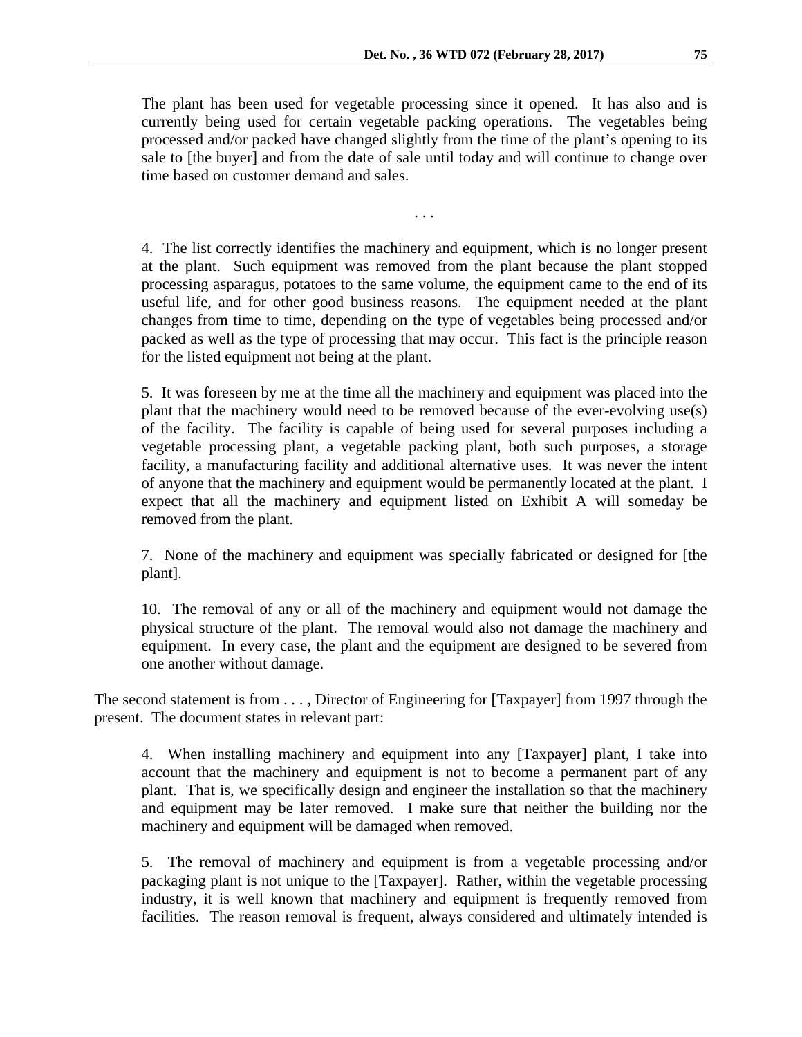The plant has been used for vegetable processing since it opened. It has also and is currently being used for certain vegetable packing operations. The vegetables being processed and/or packed have changed slightly from the time of the plant's opening to its sale to [the buyer] and from the date of sale until today and will continue to change over time based on customer demand and sales.

. . .

4. The list correctly identifies the machinery and equipment, which is no longer present at the plant. Such equipment was removed from the plant because the plant stopped processing asparagus, potatoes to the same volume, the equipment came to the end of its useful life, and for other good business reasons. The equipment needed at the plant changes from time to time, depending on the type of vegetables being processed and/or packed as well as the type of processing that may occur. This fact is the principle reason for the listed equipment not being at the plant.

5. It was foreseen by me at the time all the machinery and equipment was placed into the plant that the machinery would need to be removed because of the ever-evolving use(s) of the facility. The facility is capable of being used for several purposes including a vegetable processing plant, a vegetable packing plant, both such purposes, a storage facility, a manufacturing facility and additional alternative uses. It was never the intent of anyone that the machinery and equipment would be permanently located at the plant. I expect that all the machinery and equipment listed on Exhibit A will someday be removed from the plant.

7. None of the machinery and equipment was specially fabricated or designed for [the plant].

10. The removal of any or all of the machinery and equipment would not damage the physical structure of the plant. The removal would also not damage the machinery and equipment. In every case, the plant and the equipment are designed to be severed from one another without damage.

The second statement is from . . . , Director of Engineering for [Taxpayer] from 1997 through the present. The document states in relevant part:

4. When installing machinery and equipment into any [Taxpayer] plant, I take into account that the machinery and equipment is not to become a permanent part of any plant. That is, we specifically design and engineer the installation so that the machinery and equipment may be later removed. I make sure that neither the building nor the machinery and equipment will be damaged when removed.

5. The removal of machinery and equipment is from a vegetable processing and/or packaging plant is not unique to the [Taxpayer]. Rather, within the vegetable processing industry, it is well known that machinery and equipment is frequently removed from facilities. The reason removal is frequent, always considered and ultimately intended is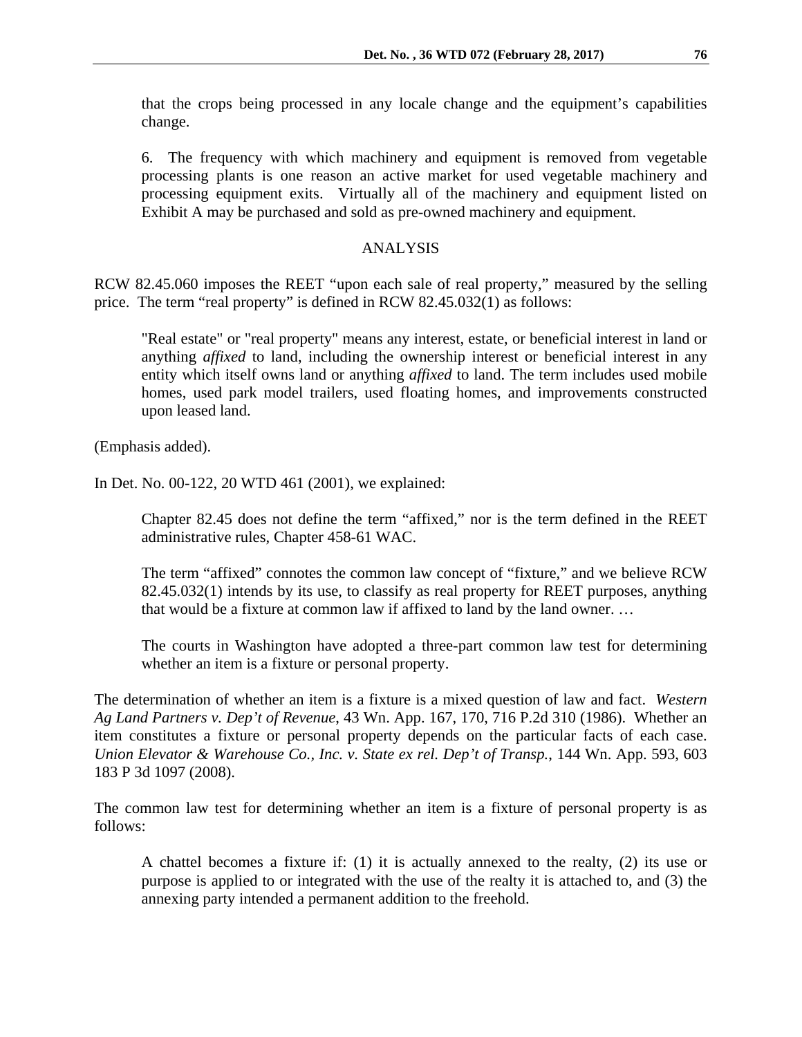that the crops being processed in any locale change and the equipment's capabilities change.

6. The frequency with which machinery and equipment is removed from vegetable processing plants is one reason an active market for used vegetable machinery and processing equipment exits. Virtually all of the machinery and equipment listed on Exhibit A may be purchased and sold as pre-owned machinery and equipment.

### ANALYSIS

RCW 82.45.060 imposes the REET "upon each sale of real property," measured by the selling price. The term "real property" is defined in RCW 82.45.032(1) as follows:

"Real estate" or "real property" means any interest, estate, or beneficial interest in land or anything *affixed* to land, including the ownership interest or beneficial interest in any entity which itself owns land or anything *affixed* to land. The term includes used mobile homes, used park model trailers, used floating homes, and improvements constructed upon leased land.

(Emphasis added).

In Det. No. 00-122, 20 WTD 461 (2001), we explained:

Chapter 82.45 does not define the term "affixed," nor is the term defined in the REET administrative rules, Chapter 458-61 WAC.

The term "affixed" connotes the common law concept of "fixture," and we believe RCW 82.45.032(1) intends by its use, to classify as real property for REET purposes, anything that would be a fixture at common law if affixed to land by the land owner. …

The courts in Washington have adopted a three-part common law test for determining whether an item is a fixture or personal property.

The determination of whether an item is a fixture is a mixed question of law and fact. *Western Ag Land Partners v. Dep't of Revenue*, 43 Wn. App. 167, 170, 716 P.2d 310 (1986). Whether an item constitutes a fixture or personal property depends on the particular facts of each case. *Union Elevator & Warehouse Co., Inc. v. State ex rel. Dep't of Transp.*, 144 Wn. App. 593, 603 183 P 3d 1097 (2008).

The common law test for determining whether an item is a fixture of personal property is as follows:

A chattel becomes a fixture if: (1) it is actually annexed to the realty, (2) its use or purpose is applied to or integrated with the use of the realty it is attached to, and (3) the annexing party intended a permanent addition to the freehold.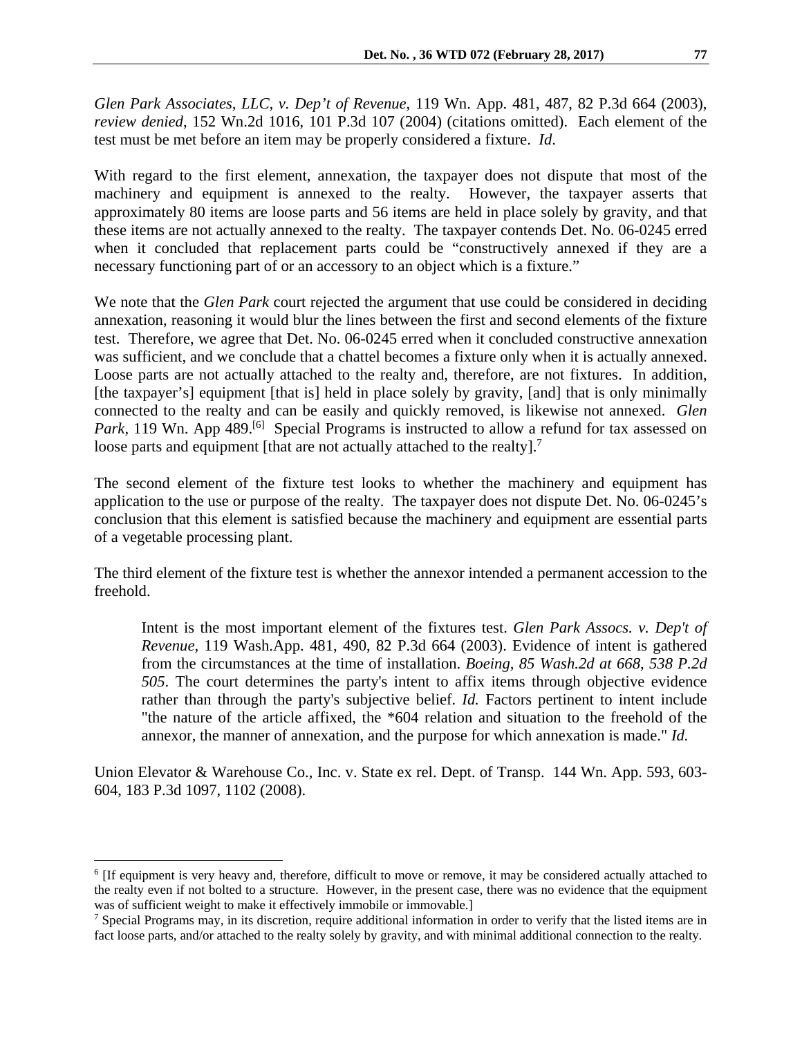*Glen Park Associates, LLC, v. Dep't of Revenue*, 119 Wn. App. 481, 487, 82 P.3d 664 (2003), *review denied*, 152 Wn.2d 1016, 101 P.3d 107 (2004) (citations omitted). Each element of the test must be met before an item may be properly considered a fixture. *Id*.

With regard to the first element, annexation, the taxpayer does not dispute that most of the machinery and equipment is annexed to the realty. However, the taxpayer asserts that approximately 80 items are loose parts and 56 items are held in place solely by gravity, and that these items are not actually annexed to the realty. The taxpayer contends Det. No. 06-0245 erred when it concluded that replacement parts could be "constructively annexed if they are a necessary functioning part of or an accessory to an object which is a fixture."

We note that the *Glen Park* court rejected the argument that use could be considered in deciding annexation, reasoning it would blur the lines between the first and second elements of the fixture test. Therefore, we agree that Det. No. 06-0245 erred when it concluded constructive annexation was sufficient, and we conclude that a chattel becomes a fixture only when it is actually annexed. Loose parts are not actually attached to the realty and, therefore, are not fixtures. In addition, [the taxpayer's] equipment [that is] held in place solely by gravity, [and] that is only minimally connected to the realty and can be easily and quickly removed, is likewise not annexed. *Glen Park*, 119 Wn. App 489.<sup>[6]</sup> Special Programs is instructed to allow a refund for tax assessed on loose parts and equipment [that are not actually attached to the realty].<sup>7</sup>

The second element of the fixture test looks to whether the machinery and equipment has application to the use or purpose of the realty. The taxpayer does not dispute Det. No. 06-0245's conclusion that this element is satisfied because the machinery and equipment are essential parts of a vegetable processing plant.

The third element of the fixture test is whether the annexor intended a permanent accession to the freehold.

Intent is the most important element of the fixtures test. *Glen Park Assocs. v. Dep't of Revenue,* 119 Wash.App. 481, 490, 82 P.3d 664 (2003). Evidence of intent is gathered from the circumstances at the time of installation. *Boeing, 85 Wash.2d at 668, 538 P.2d 505*. The court determines the party's intent to affix items through objective evidence rather than through the party's subjective belief. *Id.* Factors pertinent to intent include "the nature of the article affixed, the \*604 relation and situation to the freehold of the annexor, the manner of annexation, and the purpose for which annexation is made." *Id.*

Union Elevator & Warehouse Co., Inc. v. State ex rel. Dept. of Transp. 144 Wn. App. 593, 603- 604, 183 P.3d 1097, 1102 (2008).

<sup>6</sup> [If equipment is very heavy and, therefore, difficult to move or remove, it may be considered actually attached to the realty even if not bolted to a structure. However, in the present case, there was no evidence that the equipment was of sufficient weight to make it effectively immobile or immovable.]

<sup>&</sup>lt;sup>7</sup> Special Programs may, in its discretion, require additional information in order to verify that the listed items are in fact loose parts, and/or attached to the realty solely by gravity, and with minimal additional connection to the realty.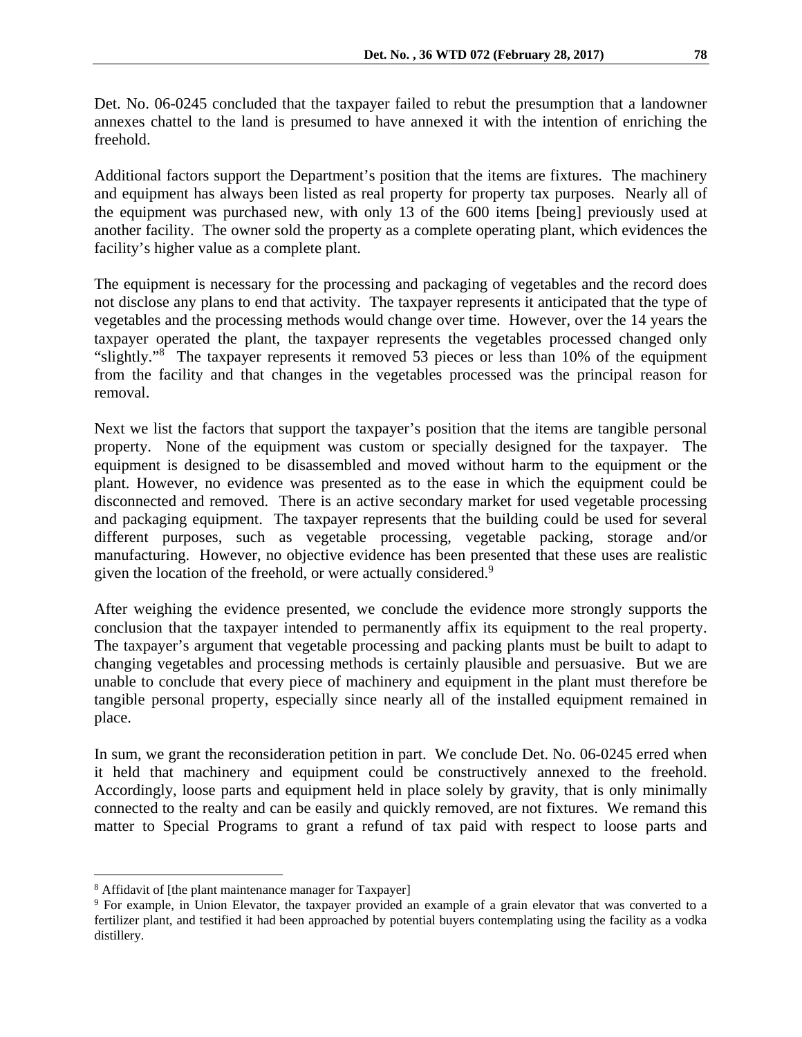Det. No. 06-0245 concluded that the taxpayer failed to rebut the presumption that a landowner annexes chattel to the land is presumed to have annexed it with the intention of enriching the freehold.

Additional factors support the Department's position that the items are fixtures. The machinery and equipment has always been listed as real property for property tax purposes. Nearly all of the equipment was purchased new, with only 13 of the 600 items [being] previously used at another facility. The owner sold the property as a complete operating plant, which evidences the facility's higher value as a complete plant.

The equipment is necessary for the processing and packaging of vegetables and the record does not disclose any plans to end that activity. The taxpayer represents it anticipated that the type of vegetables and the processing methods would change over time. However, over the 14 years the taxpayer operated the plant, the taxpayer represents the vegetables processed changed only "slightly."8 The taxpayer represents it removed 53 pieces or less than 10% of the equipment from the facility and that changes in the vegetables processed was the principal reason for removal.

Next we list the factors that support the taxpayer's position that the items are tangible personal property. None of the equipment was custom or specially designed for the taxpayer. The equipment is designed to be disassembled and moved without harm to the equipment or the plant. However, no evidence was presented as to the ease in which the equipment could be disconnected and removed. There is an active secondary market for used vegetable processing and packaging equipment. The taxpayer represents that the building could be used for several different purposes, such as vegetable processing, vegetable packing, storage and/or manufacturing. However, no objective evidence has been presented that these uses are realistic given the location of the freehold, or were actually considered.<sup>9</sup>

After weighing the evidence presented, we conclude the evidence more strongly supports the conclusion that the taxpayer intended to permanently affix its equipment to the real property. The taxpayer's argument that vegetable processing and packing plants must be built to adapt to changing vegetables and processing methods is certainly plausible and persuasive. But we are unable to conclude that every piece of machinery and equipment in the plant must therefore be tangible personal property, especially since nearly all of the installed equipment remained in place.

In sum, we grant the reconsideration petition in part. We conclude Det. No. 06-0245 erred when it held that machinery and equipment could be constructively annexed to the freehold. Accordingly, loose parts and equipment held in place solely by gravity, that is only minimally connected to the realty and can be easily and quickly removed, are not fixtures. We remand this matter to Special Programs to grant a refund of tax paid with respect to loose parts and

<sup>&</sup>lt;sup>8</sup> Affidavit of [the plant maintenance manager for Taxpayer]

<sup>9</sup> For example, in Union Elevator, the taxpayer provided an example of a grain elevator that was converted to a fertilizer plant, and testified it had been approached by potential buyers contemplating using the facility as a vodka distillery.